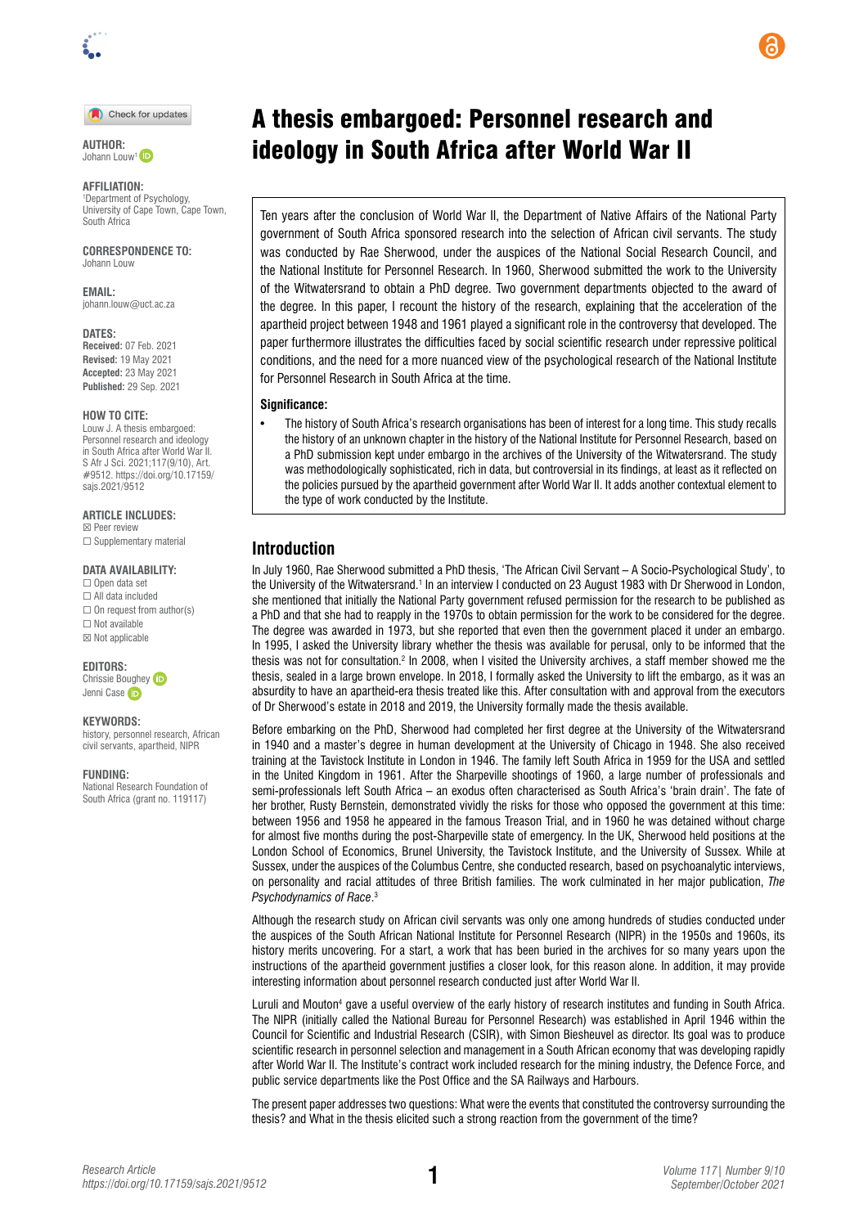

#### Check for updates

 $Johann I$   $OUW^1$ 

#### **AFFILIATION:**

1 Department of Psychology, University of Cape Town, Cape Town, South Africa

**CORRESPONDENCE TO:**  Johann Louw

**EMAIL:**  [johann.louw@uct.ac.za](mailto:johann.louw@uct.ac.za)

#### **DATES:**

**Received:** 07 Feb. 2021 **Revised:** 19 May 2021 **Accepted:** 23 May 2021 **Published:** 29 Sep. 2021

#### **HOW TO CITE:**

Louw J. A thesis embargoed: Personnel research and ideology in South Africa after World War II. S Afr J Sci. 2021;117(9/10), Art. #9512. [https://doi.org/10.17159/](https://doi.org/10.17159/sajs.2021/9512) [sajs.2021/9512](https://doi.org/10.17159/sajs.2021/9512)

**ARTICLE INCLUDES:** ☒ Peer review □ Supplementary material

## **DATA AVAILABILITY:**

☐ Open data set ☐ All data included  $\Box$  On request from author(s) ☐ Not available ☒ Not applicable

**EDITORS:** 

Chrissie Boughey Jenni Cas[e](http://orcid.org/0000-0002-0186-9803) iD

#### **KEYWORDS:**

history, personnel research, African civil servants, apartheid, NIPR

**FUNDING:** 

National Research Foundation of South Africa (grant no. 119117)

# A thesis embargoed: Personnel research and **EXUTHOR:** *INTHOR:* **<b>nutrica** after World War II

Ten years after the conclusion of World War II, the Department of Native Affairs of the National Party government of South Africa sponsored research into the selection of African civil servants. The study was conducted by Rae Sherwood, under the auspices of the National Social Research Council, and the National Institute for Personnel Research. In 1960, Sherwood submitted the work to the University of the Witwatersrand to obtain a PhD degree. Two government departments objected to the award of the degree. In this paper, I recount the history of the research, explaining that the acceleration of the apartheid project between 1948 and 1961 played a significant role in the controversy that developed. The paper furthermore illustrates the difficulties faced by social scientific research under repressive political conditions, and the need for a more nuanced view of the psychological research of the National Institute for Personnel Research in South Africa at the time.

#### **Significance:**

• The history of South Africa's research organisations has been of interest for a long time. This study recalls the history of an unknown chapter in the history of the National Institute for Personnel Research, based on a PhD submission kept under embargo in the archives of the University of the Witwatersrand. The study was methodologically sophisticated, rich in data, but controversial in its findings, at least as it reflected on the policies pursued by the apartheid government after World War II. It adds another contextual element to the type of work conducted by the Institute.

### **Introduction**

In July 1960, Rae Sherwood submitted a PhD thesis, 'The African Civil Servant – A Socio-Psychological Study', to the University of the Witwatersrand.1 In an interview I conducted on 23 August 1983 with Dr Sherwood in London, she mentioned that initially the National Party government refused permission for the research to be published as a PhD and that she had to reapply in the 1970s to obtain permission for the work to be considered for the degree. The degree was awarded in 1973, but she reported that even then the government placed it under an embargo. In 1995, I asked the University library whether the thesis was available for perusal, only to be informed that the thesis was not for consultation.<sup>2</sup> In 2008, when I visited the University archives, a staff member showed me the thesis, sealed in a large brown envelope. In 2018, I formally asked the University to lift the embargo, as it was an absurdity to have an apartheid-era thesis treated like this. After consultation with and approval from the executors of Dr Sherwood's estate in 2018 and 2019, the University formally made the thesis available.

Before embarking on the PhD, Sherwood had completed her first degree at the University of the Witwatersrand in 1940 and a master's degree in human development at the University of Chicago in 1948. She also received training at the Tavistock Institute in London in 1946. The family left South Africa in 1959 for the USA and settled in the United Kingdom in 1961. After the Sharpeville shootings of 1960, a large number of professionals and semi-professionals left South Africa – an exodus often characterised as South Africa's 'brain drain'. The fate of her brother, Rusty Bernstein, demonstrated vividly the risks for those who opposed the government at this time: between 1956 and 1958 he appeared in the famous Treason Trial, and in 1960 he was detained without charge for almost five months during the post-Sharpeville state of emergency. In the UK, Sherwood held positions at the London School of Economics, Brunel University, the Tavistock Institute, and the University of Sussex. While at Sussex, under the auspices of the Columbus Centre, she conducted research, based on psychoanalytic interviews, on personality and racial attitudes of three British families. The work culminated in her major publication, *The Psychodynamics of Race*. 3

Although the research study on African civil servants was only one among hundreds of studies conducted under the auspices of the South African National Institute for Personnel Research (NIPR) in the 1950s and 1960s, its history merits uncovering. For a start, a work that has been buried in the archives for so many years upon the instructions of the apartheid government justifies a closer look, for this reason alone. In addition, it may provide interesting information about personnel research conducted just after World War II.

Luruli and Mouton4 gave a useful overview of the early history of research institutes and funding in South Africa. The NIPR (initially called the National Bureau for Personnel Research) was established in April 1946 within the Council for Scientific and Industrial Research (CSIR), with Simon Biesheuvel as director. Its goal was to produce scientific research in personnel selection and management in a South African economy that was developing rapidly after World War II. The Institute's contract work included research for the mining industry, the Defence Force, and public service departments like the Post Office and the SA Railways and Harbours.

The present paper addresses two questions: What were the events that constituted the controversy surrounding the thesis? and What in the thesis elicited such a strong reaction from the government of the time?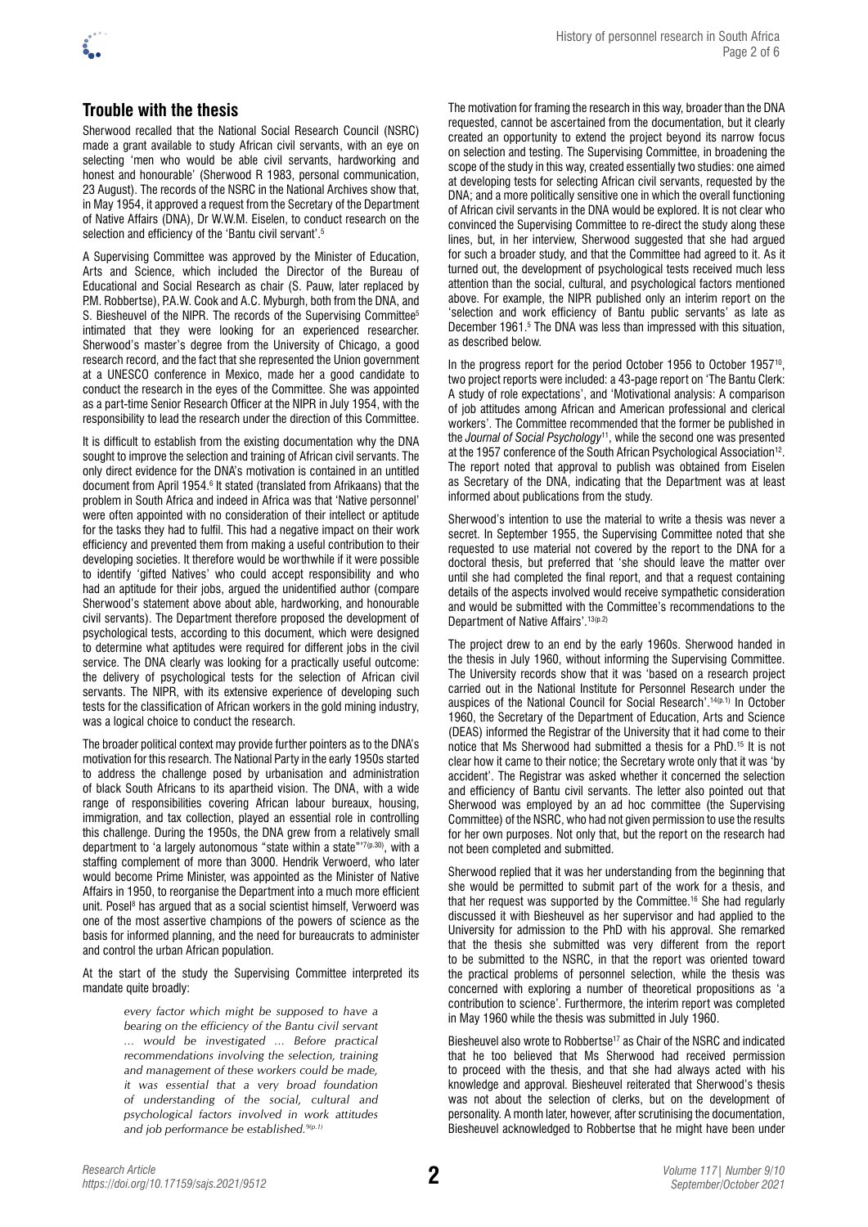

## **Trouble with the thesis**

Sherwood recalled that the National Social Research Council (NSRC) made a grant available to study African civil servants, with an eye on selecting 'men who would be able civil servants, hardworking and honest and honourable' (Sherwood R 1983, personal communication, 23 August). The records of the NSRC in the National Archives show that, in May 1954, it approved a request from the Secretary of the Department of Native Affairs (DNA), Dr W.W.M. Eiselen, to conduct research on the selection and efficiency of the 'Bantu civil servant'.<sup>5</sup>

A Supervising Committee was approved by the Minister of Education, Arts and Science, which included the Director of the Bureau of Educational and Social Research as chair (S. Pauw, later replaced by P.M. Robbertse), P.A.W. Cook and A.C. Myburgh, both from the DNA, and S. Biesheuvel of the NIPR. The records of the Supervising Committee<sup>5</sup> intimated that they were looking for an experienced researcher. Sherwood's master's degree from the University of Chicago, a good research record, and the fact that she represented the Union government at a UNESCO conference in Mexico, made her a good candidate to conduct the research in the eyes of the Committee. She was appointed as a part-time Senior Research Officer at the NIPR in July 1954, with the responsibility to lead the research under the direction of this Committee.

It is difficult to establish from the existing documentation why the DNA sought to improve the selection and training of African civil servants. The only direct evidence for the DNA's motivation is contained in an untitled document from April 1954.6 It stated (translated from Afrikaans) that the problem in South Africa and indeed in Africa was that 'Native personnel' were often appointed with no consideration of their intellect or aptitude for the tasks they had to fulfil. This had a negative impact on their work efficiency and prevented them from making a useful contribution to their developing societies. It therefore would be worthwhile if it were possible to identify 'gifted Natives' who could accept responsibility and who had an aptitude for their jobs, argued the unidentified author (compare Sherwood's statement above about able, hardworking, and honourable civil servants). The Department therefore proposed the development of psychological tests, according to this document, which were designed to determine what aptitudes were required for different jobs in the civil service. The DNA clearly was looking for a practically useful outcome: the delivery of psychological tests for the selection of African civil servants. The NIPR, with its extensive experience of developing such tests for the classification of African workers in the gold mining industry, was a logical choice to conduct the research.

The broader political context may provide further pointers as to the DNA's motivation for this research. The National Party in the early 1950s started to address the challenge posed by urbanisation and administration of black South Africans to its apartheid vision. The DNA, with a wide range of responsibilities covering African labour bureaux, housing, immigration, and tax collection, played an essential role in controlling this challenge. During the 1950s, the DNA grew from a relatively small department to 'a largely autonomous "state within a state"<sup>77(p.30)</sup>, with a staffing complement of more than 3000. Hendrik Verwoerd, who later would become Prime Minister, was appointed as the Minister of Native Affairs in 1950, to reorganise the Department into a much more efficient unit. Posel<sup>8</sup> has argued that as a social scientist himself, Verwoerd was one of the most assertive champions of the powers of science as the basis for informed planning, and the need for bureaucrats to administer and control the urban African population.

At the start of the study the Supervising Committee interpreted its mandate quite broadly:

> *every factor which might be supposed to have a bearing on the efficiency of the Bantu civil servant … would be investigated … Before practical recommendations involving the selection, training and management of these workers could be made, it was essential that a very broad foundation of understanding of the social, cultural and psychological factors involved in work attitudes and job performance be established.9(p.1)*

The motivation for framing the research in this way, broader than the DNA requested, cannot be ascertained from the documentation, but it clearly created an opportunity to extend the project beyond its narrow focus on selection and testing. The Supervising Committee, in broadening the scope of the study in this way, created essentially two studies: one aimed at developing tests for selecting African civil servants, requested by the DNA; and a more politically sensitive one in which the overall functioning of African civil servants in the DNA would be explored. It is not clear who convinced the Supervising Committee to re-direct the study along these lines, but, in her interview, Sherwood suggested that she had argued for such a broader study, and that the Committee had agreed to it. As it turned out, the development of psychological tests received much less attention than the social, cultural, and psychological factors mentioned above. For example, the NIPR published only an interim report on the 'selection and work efficiency of Bantu public servants' as late as December 1961.<sup>5</sup> The DNA was less than impressed with this situation, as described below.

In the progress report for the period October 1956 to October 1957<sup>10</sup>. two project reports were included: a 43-page report on 'The Bantu Clerk: A study of role expectations', and 'Motivational analysis: A comparison of job attitudes among African and American professional and clerical workers'. The Committee recommended that the former be published in the *Journal of Social Psychology*11, while the second one was presented at the 1957 conference of the South African Psychological Association<sup>12</sup>. The report noted that approval to publish was obtained from Eiselen as Secretary of the DNA, indicating that the Department was at least informed about publications from the study.

Sherwood's intention to use the material to write a thesis was never a secret. In September 1955, the Supervising Committee noted that she requested to use material not covered by the report to the DNA for a doctoral thesis, but preferred that 'she should leave the matter over until she had completed the final report, and that a request containing details of the aspects involved would receive sympathetic consideration and would be submitted with the Committee's recommendations to the Department of Native Affairs'.<sup>13(p.2)</sup>

The project drew to an end by the early 1960s. Sherwood handed in the thesis in July 1960, without informing the Supervising Committee. The University records show that it was 'based on a research project carried out in the National Institute for Personnel Research under the auspices of the National Council for Social Research'.<sup>14(p.1)</sup> In October 1960, the Secretary of the Department of Education, Arts and Science (DEAS) informed the Registrar of the University that it had come to their notice that Ms Sherwood had submitted a thesis for a PhD.15 It is not clear how it came to their notice; the Secretary wrote only that it was 'by accident'. The Registrar was asked whether it concerned the selection and efficiency of Bantu civil servants. The letter also pointed out that Sherwood was employed by an ad hoc committee (the Supervising Committee) of the NSRC, who had not given permission to use the results for her own purposes. Not only that, but the report on the research had not been completed and submitted.

Sherwood replied that it was her understanding from the beginning that she would be permitted to submit part of the work for a thesis, and that her request was supported by the Committee.16 She had regularly discussed it with Biesheuvel as her supervisor and had applied to the University for admission to the PhD with his approval. She remarked that the thesis she submitted was very different from the report to be submitted to the NSRC, in that the report was oriented toward the practical problems of personnel selection, while the thesis was concerned with exploring a number of theoretical propositions as 'a contribution to science'. Furthermore, the interim report was completed in May 1960 while the thesis was submitted in July 1960.

Biesheuvel also wrote to Robbertse<sup>17</sup> as Chair of the NSRC and indicated that he too believed that Ms Sherwood had received permission to proceed with the thesis, and that she had always acted with his knowledge and approval. Biesheuvel reiterated that Sherwood's thesis was not about the selection of clerks, but on the development of personality. A month later, however, after scrutinising the documentation, Biesheuvel acknowledged to Robbertse that he might have been under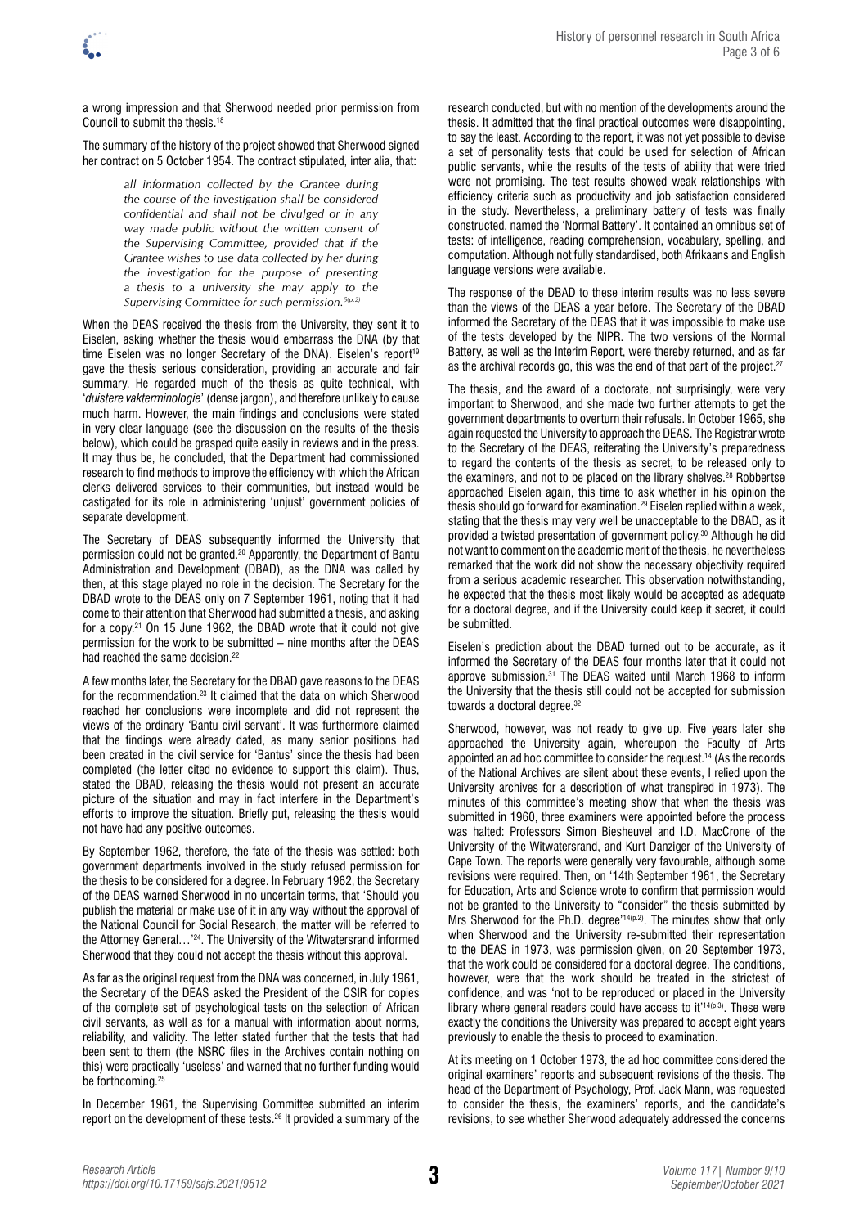a wrong impression and that Sherwood needed prior permission from Council to submit the thesis.18

The summary of the history of the project showed that Sherwood signed her contract on 5 October 1954. The contract stipulated, inter alia, that:

> *all information collected by the Grantee during the course of the investigation shall be considered confidential and shall not be divulged or in any way made public without the written consent of the Supervising Committee, provided that if the Grantee wishes to use data collected by her during the investigation for the purpose of presenting a thesis to a university she may apply to the Supervising Committee for such permission.5(p.2)*

When the DEAS received the thesis from the University, they sent it to Eiselen, asking whether the thesis would embarrass the DNA (by that time Eiselen was no longer Secretary of the DNA). Eiselen's report<sup>19</sup> gave the thesis serious consideration, providing an accurate and fair summary. He regarded much of the thesis as quite technical, with '*duistere vakterminologie*' (dense jargon), and therefore unlikely to cause much harm. However, the main findings and conclusions were stated in very clear language (see the discussion on the results of the thesis below), which could be grasped quite easily in reviews and in the press. It may thus be, he concluded, that the Department had commissioned research to find methods to improve the efficiency with which the African clerks delivered services to their communities, but instead would be castigated for its role in administering 'unjust' government policies of separate development.

The Secretary of DEAS subsequently informed the University that permission could not be granted.20 Apparently, the Department of Bantu Administration and Development (DBAD), as the DNA was called by then, at this stage played no role in the decision. The Secretary for the DBAD wrote to the DEAS only on 7 September 1961, noting that it had come to their attention that Sherwood had submitted a thesis, and asking for a copy.21 On 15 June 1962, the DBAD wrote that it could not give permission for the work to be submitted – nine months after the DEAS had reached the same decision.<sup>22</sup>

A few months later, the Secretary for the DBAD gave reasons to the DEAS for the recommendation.23 It claimed that the data on which Sherwood reached her conclusions were incomplete and did not represent the views of the ordinary 'Bantu civil servant'. It was furthermore claimed that the findings were already dated, as many senior positions had been created in the civil service for 'Bantus' since the thesis had been completed (the letter cited no evidence to support this claim). Thus, stated the DBAD, releasing the thesis would not present an accurate picture of the situation and may in fact interfere in the Department's efforts to improve the situation. Briefly put, releasing the thesis would not have had any positive outcomes.

By September 1962, therefore, the fate of the thesis was settled: both government departments involved in the study refused permission for the thesis to be considered for a degree. In February 1962, the Secretary of the DEAS warned Sherwood in no uncertain terms, that 'Should you publish the material or make use of it in any way without the approval of the National Council for Social Research, the matter will be referred to the Attorney General…'24. The University of the Witwatersrand informed Sherwood that they could not accept the thesis without this approval.

As far as the original request from the DNA was concerned, in July 1961, the Secretary of the DEAS asked the President of the CSIR for copies of the complete set of psychological tests on the selection of African civil servants, as well as for a manual with information about norms, reliability, and validity. The letter stated further that the tests that had been sent to them (the NSRC files in the Archives contain nothing on this) were practically 'useless' and warned that no further funding would be forthcoming.25

In December 1961, the Supervising Committee submitted an interim report on the development of these tests.26 It provided a summary of the

research conducted, but with no mention of the developments around the thesis. It admitted that the final practical outcomes were disappointing, to say the least. According to the report, it was not yet possible to devise a set of personality tests that could be used for selection of African public servants, while the results of the tests of ability that were tried were not promising. The test results showed weak relationships with efficiency criteria such as productivity and job satisfaction considered in the study. Nevertheless, a preliminary battery of tests was finally constructed, named the 'Normal Battery'. It contained an omnibus set of tests: of intelligence, reading comprehension, vocabulary, spelling, and computation. Although not fully standardised, both Afrikaans and English language versions were available.

The response of the DBAD to these interim results was no less severe than the views of the DEAS a year before. The Secretary of the DBAD informed the Secretary of the DEAS that it was impossible to make use of the tests developed by the NIPR. The two versions of the Normal Battery, as well as the Interim Report, were thereby returned, and as far as the archival records go, this was the end of that part of the project.<sup>27</sup>

The thesis, and the award of a doctorate, not surprisingly, were very important to Sherwood, and she made two further attempts to get the government departments to overturn their refusals. In October 1965, she again requested the University to approach the DEAS. The Registrar wrote to the Secretary of the DEAS, reiterating the University's preparedness to regard the contents of the thesis as secret, to be released only to the examiners, and not to be placed on the library shelves.<sup>28</sup> Robbertse approached Eiselen again, this time to ask whether in his opinion the thesis should go forward for examination.29 Eiselen replied within a week, stating that the thesis may very well be unacceptable to the DBAD, as it provided a twisted presentation of government policy.30 Although he did not want to comment on the academic merit of the thesis, he nevertheless remarked that the work did not show the necessary objectivity required from a serious academic researcher. This observation notwithstanding, he expected that the thesis most likely would be accepted as adequate for a doctoral degree, and if the University could keep it secret, it could be submitted.

Eiselen's prediction about the DBAD turned out to be accurate, as it informed the Secretary of the DEAS four months later that it could not approve submission. $3^5$  The DEAS waited until March 1968 to inform the University that the thesis still could not be accepted for submission towards a doctoral degree.<sup>32</sup>

Sherwood, however, was not ready to give up. Five years later she approached the University again, whereupon the Faculty of Arts appointed an ad hoc committee to consider the request.14 (As the records of the National Archives are silent about these events, I relied upon the University archives for a description of what transpired in 1973). The minutes of this committee's meeting show that when the thesis was submitted in 1960, three examiners were appointed before the process was halted: Professors Simon Biesheuvel and I.D. MacCrone of the University of the Witwatersrand, and Kurt Danziger of the University of Cape Town. The reports were generally very favourable, although some revisions were required. Then, on '14th September 1961, the Secretary for Education, Arts and Science wrote to confirm that permission would not be granted to the University to "consider" the thesis submitted by Mrs Sherwood for the Ph.D. degree<sup>'14(p.2)</sup>. The minutes show that only when Sherwood and the University re-submitted their representation to the DEAS in 1973, was permission given, on 20 September 1973, that the work could be considered for a doctoral degree. The conditions, however, were that the work should be treated in the strictest of confidence, and was 'not to be reproduced or placed in the University library where general readers could have access to it $14(p.3)$ . These were exactly the conditions the University was prepared to accept eight years previously to enable the thesis to proceed to examination.

At its meeting on 1 October 1973, the ad hoc committee considered the original examiners' reports and subsequent revisions of the thesis. The head of the Department of Psychology, Prof. Jack Mann, was requested to consider the thesis, the examiners' reports, and the candidate's revisions, to see whether Sherwood adequately addressed the concerns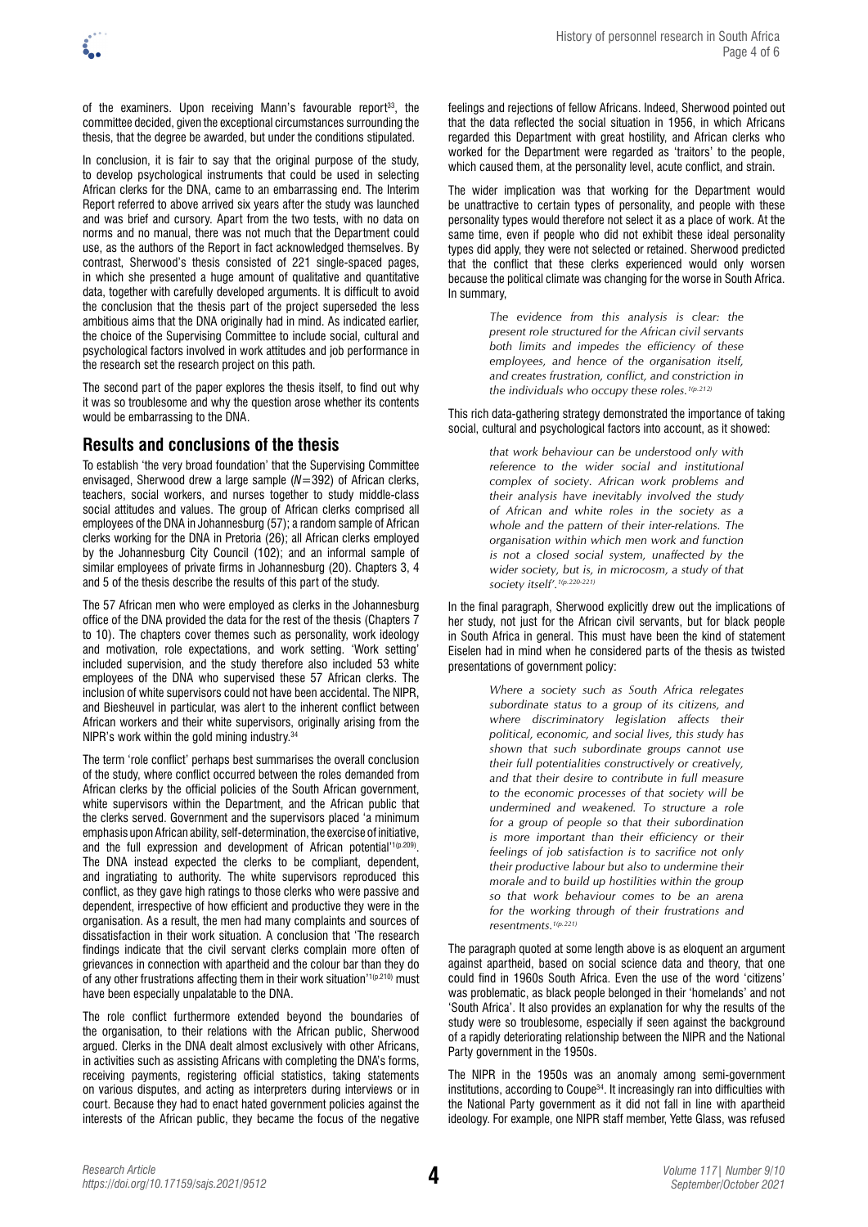of the examiners. Upon receiving Mann's favourable report<sup>33</sup>, the committee decided, given the exceptional circumstances surrounding the thesis, that the degree be awarded, but under the conditions stipulated.

In conclusion, it is fair to say that the original purpose of the study, to develop psychological instruments that could be used in selecting African clerks for the DNA, came to an embarrassing end. The Interim Report referred to above arrived six years after the study was launched and was brief and cursory. Apart from the two tests, with no data on norms and no manual, there was not much that the Department could use, as the authors of the Report in fact acknowledged themselves. By contrast, Sherwood's thesis consisted of 221 single-spaced pages, in which she presented a huge amount of qualitative and quantitative data, together with carefully developed arguments. It is difficult to avoid the conclusion that the thesis part of the project superseded the less ambitious aims that the DNA originally had in mind. As indicated earlier, the choice of the Supervising Committee to include social, cultural and psychological factors involved in work attitudes and job performance in the research set the research project on this path.

The second part of the paper explores the thesis itself, to find out why it was so troublesome and why the question arose whether its contents would be embarrassing to the DNA.

## **Results and conclusions of the thesis**

To establish 'the very broad foundation' that the Supervising Committee envisaged, Sherwood drew a large sample (*N*=392) of African clerks, teachers, social workers, and nurses together to study middle-class social attitudes and values. The group of African clerks comprised all employees of the DNA in Johannesburg (57); a random sample of African clerks working for the DNA in Pretoria (26); all African clerks employed by the Johannesburg City Council (102); and an informal sample of similar employees of private firms in Johannesburg (20). Chapters 3, 4 and 5 of the thesis describe the results of this part of the study.

The 57 African men who were employed as clerks in the Johannesburg office of the DNA provided the data for the rest of the thesis (Chapters 7 to 10). The chapters cover themes such as personality, work ideology and motivation, role expectations, and work setting. 'Work setting' included supervision, and the study therefore also included 53 white employees of the DNA who supervised these 57 African clerks. The inclusion of white supervisors could not have been accidental. The NIPR, and Biesheuvel in particular, was alert to the inherent conflict between African workers and their white supervisors, originally arising from the NIPR's work within the gold mining industry.34

The term 'role conflict' perhaps best summarises the overall conclusion of the study, where conflict occurred between the roles demanded from African clerks by the official policies of the South African government, white supervisors within the Department, and the African public that the clerks served. Government and the supervisors placed 'a minimum emphasis upon African ability, self-determination, the exercise of initiative, and the full expression and development of African potential<sup>'1(p.209)</sup>. The DNA instead expected the clerks to be compliant, dependent, and ingratiating to authority. The white supervisors reproduced this conflict, as they gave high ratings to those clerks who were passive and dependent, irrespective of how efficient and productive they were in the organisation. As a result, the men had many complaints and sources of dissatisfaction in their work situation. A conclusion that 'The research findings indicate that the civil servant clerks complain more often of grievances in connection with apartheid and the colour bar than they do of any other frustrations affecting them in their work situation'<sup>1(p.210)</sup> must have been especially unpalatable to the DNA.

The role conflict furthermore extended beyond the boundaries of the organisation, to their relations with the African public, Sherwood argued. Clerks in the DNA dealt almost exclusively with other Africans, in activities such as assisting Africans with completing the DNA's forms, receiving payments, registering official statistics, taking statements on various disputes, and acting as interpreters during interviews or in court. Because they had to enact hated government policies against the interests of the African public, they became the focus of the negative feelings and rejections of fellow Africans. Indeed, Sherwood pointed out that the data reflected the social situation in 1956, in which Africans regarded this Department with great hostility, and African clerks who worked for the Department were regarded as 'traitors' to the people, which caused them, at the personality level, acute conflict, and strain.

The wider implication was that working for the Department would be unattractive to certain types of personality, and people with these personality types would therefore not select it as a place of work. At the same time, even if people who did not exhibit these ideal personality types did apply, they were not selected or retained. Sherwood predicted that the conflict that these clerks experienced would only worsen because the political climate was changing for the worse in South Africa. In summary,

> *The evidence from this analysis is clear: the present role structured for the African civil servants both limits and impedes the efficiency of these employees, and hence of the organisation itself, and creates frustration, conflict, and constriction in the individuals who occupy these roles.1(p.212)*

This rich data-gathering strategy demonstrated the importance of taking social, cultural and psychological factors into account, as it showed:

> *that work behaviour can be understood only with reference to the wider social and institutional complex of society. African work problems and their analysis have inevitably involved the study of African and white roles in the society as a whole and the pattern of their inter-relations. The organisation within which men work and function is not a closed social system, unaffected by the wider society, but is, in microcosm, a study of that society itself'.1(p.220-221)*

In the final paragraph, Sherwood explicitly drew out the implications of her study, not just for the African civil servants, but for black people in South Africa in general. This must have been the kind of statement Eiselen had in mind when he considered parts of the thesis as twisted presentations of government policy:

> *Where a society such as South Africa relegates subordinate status to a group of its citizens, and where discriminatory legislation affects their political, economic, and social lives, this study has shown that such subordinate groups cannot use their full potentialities constructively or creatively, and that their desire to contribute in full measure to the economic processes of that society will be undermined and weakened. To structure a role for a group of people so that their subordination is more important than their efficiency or their feelings of job satisfaction is to sacrifice not only their productive labour but also to undermine their morale and to build up hostilities within the group so that work behaviour comes to be an arena for the working through of their frustrations and resentments.1(p.221)*

The paragraph quoted at some length above is as eloquent an argument against apartheid, based on social science data and theory, that one could find in 1960s South Africa. Even the use of the word 'citizens' was problematic, as black people belonged in their 'homelands' and not 'South Africa'. It also provides an explanation for why the results of the study were so troublesome, especially if seen against the background of a rapidly deteriorating relationship between the NIPR and the National Party government in the 1950s.

The NIPR in the 1950s was an anomaly among semi-government institutions, according to Coupe<sup>34</sup>. It increasingly ran into difficulties with the National Party government as it did not fall in line with apartheid ideology. For example, one NIPR staff member, Yette Glass, was refused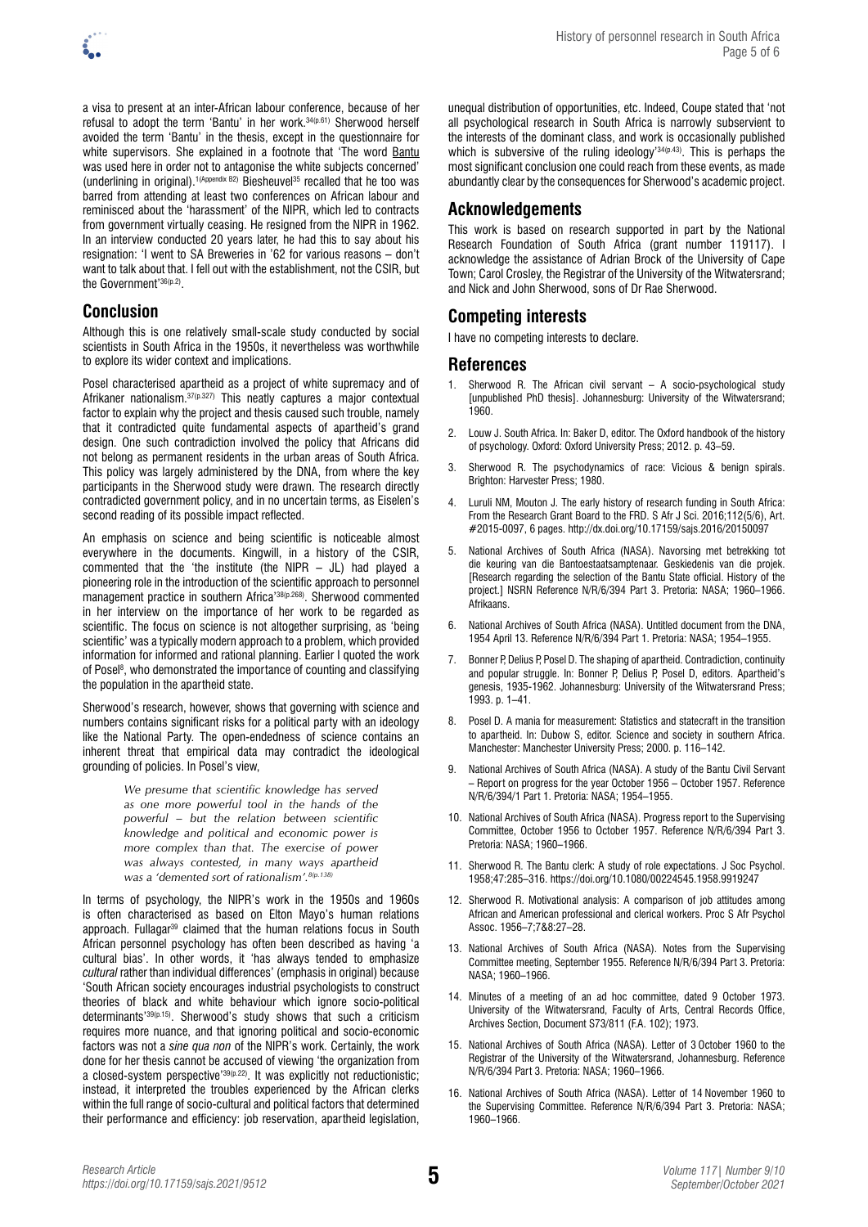

a visa to present at an inter-African labour conference, because of her refusal to adopt the term 'Bantu' in her work.<sup>34(p.61)</sup> Sherwood herself avoided the term 'Bantu' in the thesis, except in the questionnaire for white supervisors. She explained in a footnote that 'The word Bantu was used here in order not to antagonise the white subjects concerned' (underlining in original).1(Appendix B2) Biesheuvel35 recalled that he too was barred from attending at least two conferences on African labour and reminisced about the 'harassment' of the NIPR, which led to contracts from government virtually ceasing. He resigned from the NIPR in 1962. In an interview conducted 20 years later, he had this to say about his resignation: 'I went to SA Breweries in '62 for various reasons – don't want to talk about that. I fell out with the establishment, not the CSIR, but the Government'36(p.2).

#### **Conclusion**

Although this is one relatively small-scale study conducted by social scientists in South Africa in the 1950s, it nevertheless was worthwhile to explore its wider context and implications.

Posel characterised apartheid as a project of white supremacy and of Afrikaner nationalism.<sup>37(p.327)</sup> This neatly captures a major contextual factor to explain why the project and thesis caused such trouble, namely that it contradicted quite fundamental aspects of apartheid's grand design. One such contradiction involved the policy that Africans did not belong as permanent residents in the urban areas of South Africa. This policy was largely administered by the DNA, from where the key participants in the Sherwood study were drawn. The research directly contradicted government policy, and in no uncertain terms, as Eiselen's second reading of its possible impact reflected.

An emphasis on science and being scientific is noticeable almost everywhere in the documents. Kingwill, in a history of the CSIR, commented that the 'the institute (the NIPR – JL) had played a pioneering role in the introduction of the scientific approach to personnel management practice in southern Africa'38(p.268). Sherwood commented in her interview on the importance of her work to be regarded as scientific. The focus on science is not altogether surprising, as 'being scientific' was a typically modern approach to a problem, which provided information for informed and rational planning. Earlier I quoted the work of Posel<sup>8</sup>, who demonstrated the importance of counting and classifying the population in the apartheid state.

Sherwood's research, however, shows that governing with science and numbers contains significant risks for a political party with an ideology like the National Party. The open-endedness of science contains an inherent threat that empirical data may contradict the ideological grounding of policies. In Posel's view,

> *We presume that scientific knowledge has served as one more powerful tool in the hands of the powerful – but the relation between scientific knowledge and political and economic power is more complex than that. The exercise of power was always contested, in many ways apartheid was a 'demented sort of rationalism'.8(p.138)*

In terms of psychology, the NIPR's work in the 1950s and 1960s is often characterised as based on Elton Mayo's human relations approach. Fullagar<sup>39</sup> claimed that the human relations focus in South African personnel psychology has often been described as having 'a cultural bias'. In other words, it 'has always tended to emphasize *cultural* rather than individual differences' (emphasis in original) because 'South African society encourages industrial psychologists to construct theories of black and white behaviour which ignore socio-political determinants'39(p.15). Sherwood's study shows that such a criticism requires more nuance, and that ignoring political and socio-economic factors was not a *sine qua non* of the NIPR's work. Certainly, the work done for her thesis cannot be accused of viewing 'the organization from a closed-system perspective<sup>'39(p.22)</sup>. It was explicitly not reductionistic; instead, it interpreted the troubles experienced by the African clerks within the full range of socio-cultural and political factors that determined their performance and efficiency: job reservation, apartheid legislation, unequal distribution of opportunities, etc. Indeed, Coupe stated that 'not all psychological research in South Africa is narrowly subservient to the interests of the dominant class, and work is occasionally published which is subversive of the ruling ideology'34(p.43). This is perhaps the most significant conclusion one could reach from these events, as made abundantly clear by the consequences for Sherwood's academic project.

## **Acknowledgements**

This work is based on research supported in part by the National Research Foundation of South Africa (grant number 119117). I acknowledge the assistance of Adrian Brock of the University of Cape Town; Carol Crosley, the Registrar of the University of the Witwatersrand; and Nick and John Sherwood, sons of Dr Rae Sherwood.

# **Competing interests**

I have no competing interests to declare.

#### **References**

- 1. Sherwood R. The African civil servant A socio-psychological study [unpublished PhD thesis]. Johannesburg: University of the Witwatersrand; 1960.
- 2. Louw J. South Africa. In: Baker D, editor. The Oxford handbook of the history of psychology. Oxford: Oxford University Press; 2012. p. 43–59.
- 3. Sherwood R. The psychodynamics of race: Vicious & benign spirals. Brighton: Harvester Press; 1980.
- 4. Luruli NM, Mouton J. The early history of research funding in South Africa: From the Research Grant Board to the FRD. S Afr J Sci. 2016;112(5/6), Art. #2015-0097, 6 pages. <http://dx.doi.org/10.17159/sajs.2016/20150097>
- 5. National Archives of South Africa (NASA). Navorsing met betrekking tot die keuring van die Bantoestaatsamptenaar. Geskiedenis van die projek. [Research regarding the selection of the Bantu State official. History of the project.] NSRN Reference N/R/6/394 Part 3. Pretoria: NASA; 1960–1966. Afrikaans.
- 6. National Archives of South Africa (NASA). Untitled document from the DNA, 1954 April 13. Reference N/R/6/394 Part 1. Pretoria: NASA; 1954–1955.
- 7. Bonner P, Delius P, Posel D. The shaping of apartheid. Contradiction, continuity and popular struggle. In: Bonner P, Delius P, Posel D, editors. Apartheid's genesis, 1935-1962. Johannesburg: University of the Witwatersrand Press; 1993. p. 1–41.
- 8. Posel D. A mania for measurement: Statistics and statecraft in the transition to apartheid. In: Dubow S, editor. Science and society in southern Africa. Manchester: Manchester University Press; 2000. p. 116–142.
- 9. National Archives of South Africa (NASA). A study of the Bantu Civil Servant – Report on progress for the year October 1956 – October 1957. Reference N/R/6/394/1 Part 1. Pretoria: NASA; 1954–1955.
- 10. National Archives of South Africa (NASA). Progress report to the Supervising Committee, October 1956 to October 1957. Reference N/R/6/394 Part 3. Pretoria: NASA; 1960–1966.
- 11. Sherwood R. The Bantu clerk: A study of role expectations. J Soc Psychol. 1958;47:285–316. <https://doi.org/10.1080/00224545.1958.9919247>
- 12. Sherwood R. Motivational analysis: A comparison of job attitudes among African and American professional and clerical workers. Proc S Afr Psychol Assoc. 1956–7;7&8:27–28.
- 13. National Archives of South Africa (NASA). Notes from the Supervising Committee meeting, September 1955. Reference N/R/6/394 Part 3. Pretoria: NASA; 1960–1966.
- 14. Minutes of a meeting of an ad hoc committee, dated 9 October 1973. University of the Witwatersrand, Faculty of Arts, Central Records Office, Archives Section, Document S73/811 (F.A. 102); 1973.
- 15. National Archives of South Africa (NASA). Letter of 3 October 1960 to the Registrar of the University of the Witwatersrand, Johannesburg. Reference N/R/6/394 Part 3. Pretoria: NASA; 1960–1966.
- 16. National Archives of South Africa (NASA). Letter of 14 November 1960 to the Supervising Committee. Reference N/R/6/394 Part 3. Pretoria: NASA; 1960–1966.